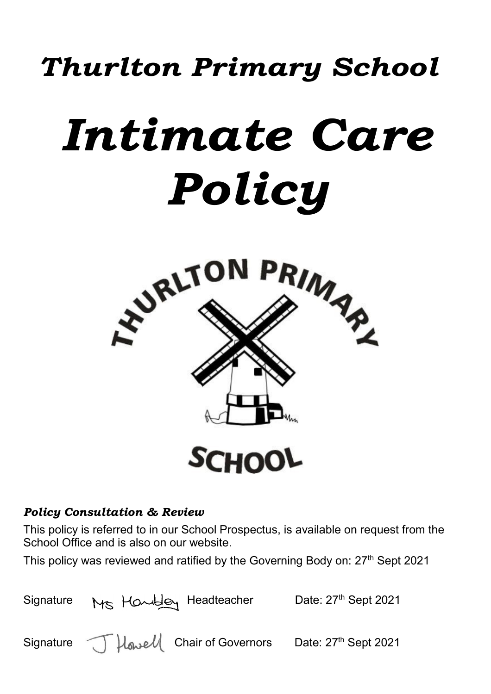## *Thurlton Primary School*

# *Intimate Care Policy*



### *Policy Consultation & Review*

This policy is referred to in our School Prospectus, is available on request from the School Office and is also on our website.

This policy was reviewed and ratified by the Governing Body on: 27<sup>th</sup> Sept 2021

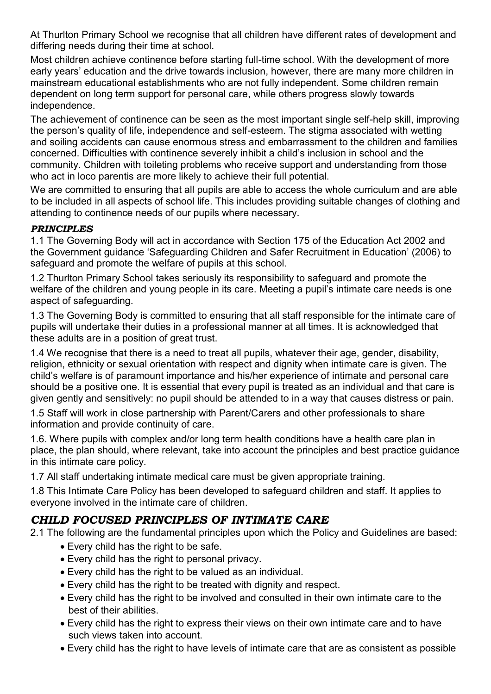At Thurlton Primary School we recognise that all children have different rates of development and differing needs during their time at school.

Most children achieve continence before starting full-time school. With the development of more early years' education and the drive towards inclusion, however, there are many more children in mainstream educational establishments who are not fully independent. Some children remain dependent on long term support for personal care, while others progress slowly towards independence.

The achievement of continence can be seen as the most important single self-help skill, improving the person's quality of life, independence and self-esteem. The stigma associated with wetting and soiling accidents can cause enormous stress and embarrassment to the children and families concerned. Difficulties with continence severely inhibit a child's inclusion in school and the community. Children with toileting problems who receive support and understanding from those who act in loco parentis are more likely to achieve their full potential.

We are committed to ensuring that all pupils are able to access the whole curriculum and are able to be included in all aspects of school life. This includes providing suitable changes of clothing and attending to continence needs of our pupils where necessary.

### *PRINCIPLES*

1.1 The Governing Body will act in accordance with Section 175 of the Education Act 2002 and the Government guidance 'Safeguarding Children and Safer Recruitment in Education' (2006) to safeguard and promote the welfare of pupils at this school.

1.2 Thurlton Primary School takes seriously its responsibility to safeguard and promote the welfare of the children and young people in its care. Meeting a pupil's intimate care needs is one aspect of safeguarding.

1.3 The Governing Body is committed to ensuring that all staff responsible for the intimate care of pupils will undertake their duties in a professional manner at all times. It is acknowledged that these adults are in a position of great trust.

1.4 We recognise that there is a need to treat all pupils, whatever their age, gender, disability, religion, ethnicity or sexual orientation with respect and dignity when intimate care is given. The child's welfare is of paramount importance and his/her experience of intimate and personal care should be a positive one. It is essential that every pupil is treated as an individual and that care is given gently and sensitively: no pupil should be attended to in a way that causes distress or pain.

1.5 Staff will work in close partnership with Parent/Carers and other professionals to share information and provide continuity of care.

1.6. Where pupils with complex and/or long term health conditions have a health care plan in place, the plan should, where relevant, take into account the principles and best practice guidance in this intimate care policy.

1.7 All staff undertaking intimate medical care must be given appropriate training.

1.8 This Intimate Care Policy has been developed to safeguard children and staff. It applies to everyone involved in the intimate care of children.

### *CHILD FOCUSED PRINCIPLES OF INTIMATE CARE*

2.1 The following are the fundamental principles upon which the Policy and Guidelines are based:

- Every child has the right to be safe.
- Every child has the right to personal privacy.
- Every child has the right to be valued as an individual.
- Every child has the right to be treated with dignity and respect.
- Every child has the right to be involved and consulted in their own intimate care to the best of their abilities.
- Every child has the right to express their views on their own intimate care and to have such views taken into account.
- Every child has the right to have levels of intimate care that are as consistent as possible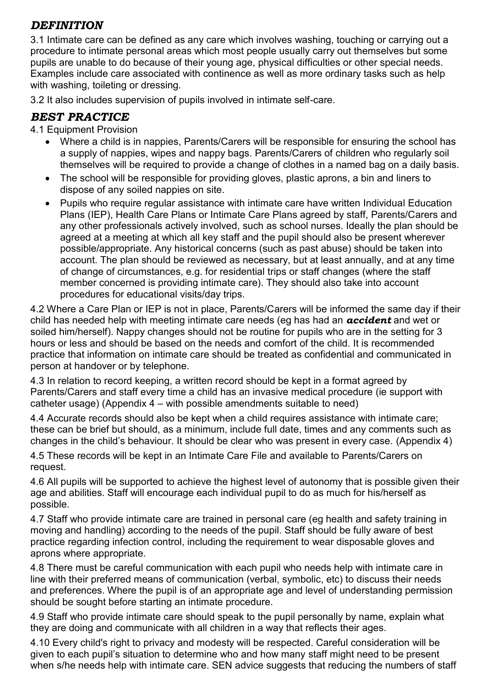### *DEFINITION*

3.1 Intimate care can be defined as any care which involves washing, touching or carrying out a procedure to intimate personal areas which most people usually carry out themselves but some pupils are unable to do because of their young age, physical difficulties or other special needs. Examples include care associated with continence as well as more ordinary tasks such as help with washing, toileting or dressing.

3.2 It also includes supervision of pupils involved in intimate self-care.

### *BEST PRACTICE*

4.1 Equipment Provision

- Where a child is in nappies, Parents/Carers will be responsible for ensuring the school has a supply of nappies, wipes and nappy bags. Parents/Carers of children who regularly soil themselves will be required to provide a change of clothes in a named bag on a daily basis.
- The school will be responsible for providing gloves, plastic aprons, a bin and liners to dispose of any soiled nappies on site.
- Pupils who require regular assistance with intimate care have written Individual Education Plans (IEP), Health Care Plans or Intimate Care Plans agreed by staff, Parents/Carers and any other professionals actively involved, such as school nurses. Ideally the plan should be agreed at a meeting at which all key staff and the pupil should also be present wherever possible/appropriate. Any historical concerns (such as past abuse) should be taken into account. The plan should be reviewed as necessary, but at least annually, and at any time of change of circumstances, e.g. for residential trips or staff changes (where the staff member concerned is providing intimate care). They should also take into account procedures for educational visits/day trips.

4.2 Where a Care Plan or IEP is not in place, Parents/Carers will be informed the same day if their child has needed help with meeting intimate care needs (eg has had an *accident* and wet or soiled him/herself). Nappy changes should not be routine for pupils who are in the setting for 3 hours or less and should be based on the needs and comfort of the child. It is recommended practice that information on intimate care should be treated as confidential and communicated in person at handover or by telephone.

4.3 In relation to record keeping, a written record should be kept in a format agreed by Parents/Carers and staff every time a child has an invasive medical procedure (ie support with catheter usage) (Appendix 4 – with possible amendments suitable to need)

4.4 Accurate records should also be kept when a child requires assistance with intimate care; these can be brief but should, as a minimum, include full date, times and any comments such as changes in the child's behaviour. It should be clear who was present in every case. (Appendix 4)

4.5 These records will be kept in an Intimate Care File and available to Parents/Carers on request.

4.6 All pupils will be supported to achieve the highest level of autonomy that is possible given their age and abilities. Staff will encourage each individual pupil to do as much for his/herself as possible.

4.7 Staff who provide intimate care are trained in personal care (eg health and safety training in moving and handling) according to the needs of the pupil. Staff should be fully aware of best practice regarding infection control, including the requirement to wear disposable gloves and aprons where appropriate.

4.8 There must be careful communication with each pupil who needs help with intimate care in line with their preferred means of communication (verbal, symbolic, etc) to discuss their needs and preferences. Where the pupil is of an appropriate age and level of understanding permission should be sought before starting an intimate procedure.

4.9 Staff who provide intimate care should speak to the pupil personally by name, explain what they are doing and communicate with all children in a way that reflects their ages.

4.10 Every child's right to privacy and modesty will be respected. Careful consideration will be given to each pupil's situation to determine who and how many staff might need to be present when s/he needs help with intimate care. SEN advice suggests that reducing the numbers of staff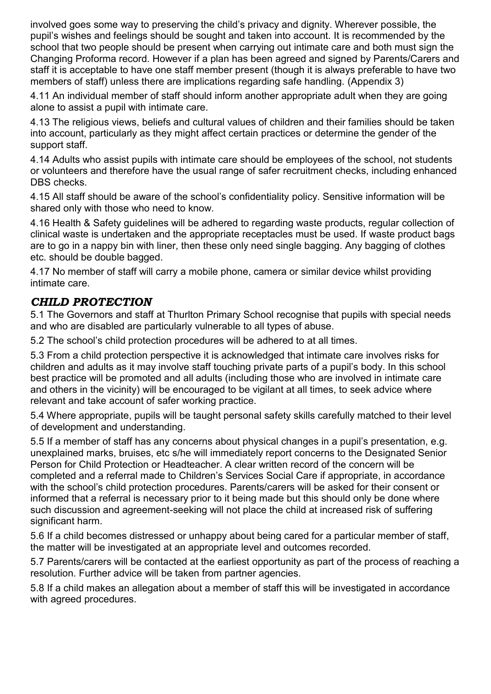involved goes some way to preserving the child's privacy and dignity. Wherever possible, the pupil's wishes and feelings should be sought and taken into account. It is recommended by the school that two people should be present when carrying out intimate care and both must sign the Changing Proforma record. However if a plan has been agreed and signed by Parents/Carers and staff it is acceptable to have one staff member present (though it is always preferable to have two members of staff) unless there are implications regarding safe handling. (Appendix 3)

4.11 An individual member of staff should inform another appropriate adult when they are going alone to assist a pupil with intimate care.

4.13 The religious views, beliefs and cultural values of children and their families should be taken into account, particularly as they might affect certain practices or determine the gender of the support staff.

4.14 Adults who assist pupils with intimate care should be employees of the school, not students or volunteers and therefore have the usual range of safer recruitment checks, including enhanced DBS checks.

4.15 All staff should be aware of the school's confidentiality policy. Sensitive information will be shared only with those who need to know.

4.16 Health & Safety guidelines will be adhered to regarding waste products, regular collection of clinical waste is undertaken and the appropriate receptacles must be used. If waste product bags are to go in a nappy bin with liner, then these only need single bagging. Any bagging of clothes etc. should be double bagged.

4.17 No member of staff will carry a mobile phone, camera or similar device whilst providing intimate care.

### *CHILD PROTECTION*

5.1 The Governors and staff at Thurlton Primary School recognise that pupils with special needs and who are disabled are particularly vulnerable to all types of abuse.

5.2 The school's child protection procedures will be adhered to at all times.

5.3 From a child protection perspective it is acknowledged that intimate care involves risks for children and adults as it may involve staff touching private parts of a pupil's body. In this school best practice will be promoted and all adults (including those who are involved in intimate care and others in the vicinity) will be encouraged to be vigilant at all times, to seek advice where relevant and take account of safer working practice.

5.4 Where appropriate, pupils will be taught personal safety skills carefully matched to their level of development and understanding.

5.5 If a member of staff has any concerns about physical changes in a pupil's presentation, e.g. unexplained marks, bruises, etc s/he will immediately report concerns to the Designated Senior Person for Child Protection or Headteacher. A clear written record of the concern will be completed and a referral made to Children's Services Social Care if appropriate, in accordance with the school's child protection procedures. Parents/carers will be asked for their consent or informed that a referral is necessary prior to it being made but this should only be done where such discussion and agreement-seeking will not place the child at increased risk of suffering significant harm.

5.6 If a child becomes distressed or unhappy about being cared for a particular member of staff, the matter will be investigated at an appropriate level and outcomes recorded.

5.7 Parents/carers will be contacted at the earliest opportunity as part of the process of reaching a resolution. Further advice will be taken from partner agencies.

5.8 If a child makes an allegation about a member of staff this will be investigated in accordance with agreed procedures.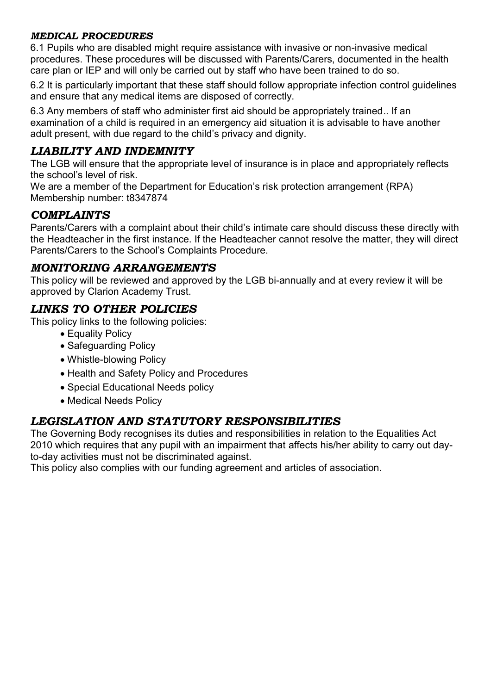### *MEDICAL PROCEDURES*

6.1 Pupils who are disabled might require assistance with invasive or non-invasive medical procedures. These procedures will be discussed with Parents/Carers, documented in the health care plan or IEP and will only be carried out by staff who have been trained to do so.

6.2 It is particularly important that these staff should follow appropriate infection control guidelines and ensure that any medical items are disposed of correctly.

6.3 Any members of staff who administer first aid should be appropriately trained.. If an examination of a child is required in an emergency aid situation it is advisable to have another adult present, with due regard to the child's privacy and dignity.

### *LIABILITY AND INDEMNITY*

The LGB will ensure that the appropriate level of insurance is in place and appropriately reflects the school's level of risk.

We are a member of the Department for Education's risk protection arrangement (RPA) Membership number: t8347874

### *COMPLAINTS*

Parents/Carers with a complaint about their child's intimate care should discuss these directly with the Headteacher in the first instance. If the Headteacher cannot resolve the matter, they will direct Parents/Carers to the School's Complaints Procedure.

### *MONITORING ARRANGEMENTS*

This policy will be reviewed and approved by the LGB bi-annually and at every review it will be approved by Clarion Academy Trust.

### *LINKS TO OTHER POLICIES*

This policy links to the following policies:

- Equality Policy
- Safeguarding Policy
- Whistle-blowing Policy
- Health and Safety Policy and Procedures
- Special Educational Needs policy
- Medical Needs Policy

### *LEGISLATION AND STATUTORY RESPONSIBILITIES*

The Governing Body recognises its duties and responsibilities in relation to the Equalities Act 2010 which requires that any pupil with an impairment that affects his/her ability to carry out dayto-day activities must not be discriminated against.

This policy also complies with our funding agreement and articles of association.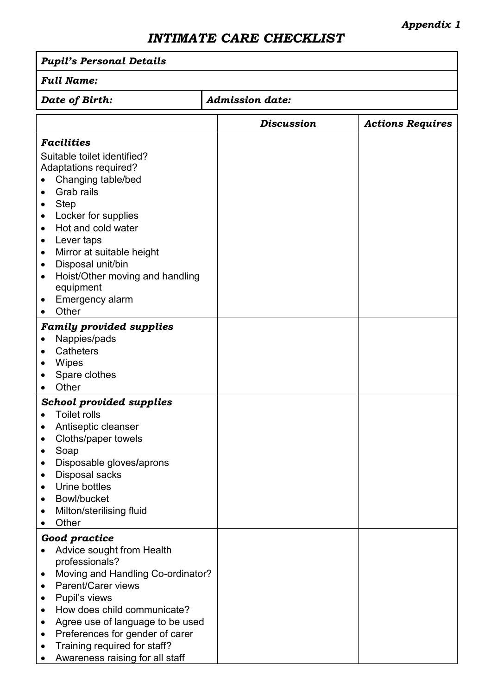### *INTIMATE CARE CHECKLIST*

| <b>Pupil's Personal Details</b>                                                                                                                                                                                                                                                                                                                                                                               |                        |                         |  |
|---------------------------------------------------------------------------------------------------------------------------------------------------------------------------------------------------------------------------------------------------------------------------------------------------------------------------------------------------------------------------------------------------------------|------------------------|-------------------------|--|
| <b>Full Name:</b>                                                                                                                                                                                                                                                                                                                                                                                             |                        |                         |  |
| Date of Birth:                                                                                                                                                                                                                                                                                                                                                                                                | <b>Admission date:</b> |                         |  |
|                                                                                                                                                                                                                                                                                                                                                                                                               | <b>Discussion</b>      | <b>Actions Requires</b> |  |
| <b>Facilities</b>                                                                                                                                                                                                                                                                                                                                                                                             |                        |                         |  |
| Suitable toilet identified?<br><b>Adaptations required?</b><br>Changing table/bed<br>Grab rails<br><b>Step</b><br>$\bullet$<br>Locker for supplies<br>$\bullet$<br>Hot and cold water<br>$\bullet$<br>Lever taps<br>٠<br>Mirror at suitable height<br>$\bullet$<br>Disposal unit/bin<br>٠                                                                                                                     |                        |                         |  |
| Hoist/Other moving and handling<br>$\bullet$<br>equipment<br><b>Emergency alarm</b><br>$\bullet$<br>Other<br>$\bullet$                                                                                                                                                                                                                                                                                        |                        |                         |  |
| <b>Family provided supplies</b><br>Nappies/pads<br>$\bullet$<br>Catheters<br>$\bullet$<br>Wipes<br>Spare clothes<br>Other                                                                                                                                                                                                                                                                                     |                        |                         |  |
| <b>School provided supplies</b><br><b>Toilet rolls</b><br>$\bullet$<br>Antiseptic cleanser<br>٠<br>Cloths/paper towels<br>Soap<br>٠<br>Disposable gloves/aprons<br>٠<br>Disposal sacks<br>٠<br>Urine bottles<br>$\bullet$<br>Bowl/bucket<br>$\bullet$<br>Milton/sterilising fluid<br>٠<br>Other<br>$\bullet$                                                                                                  |                        |                         |  |
| Good practice<br>Advice sought from Health<br>٠<br>professionals?<br>Moving and Handling Co-ordinator?<br>$\bullet$<br><b>Parent/Carer views</b><br>$\bullet$<br>Pupil's views<br>٠<br>How does child communicate?<br>$\bullet$<br>Agree use of language to be used<br>٠<br>Preferences for gender of carer<br>$\bullet$<br>Training required for staff?<br>$\bullet$<br>Awareness raising for all staff<br>٠ |                        |                         |  |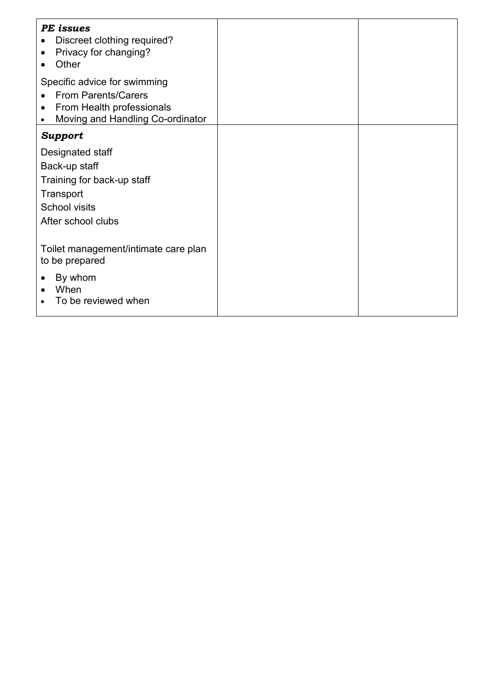| PE issues<br>Discreet clothing required?<br>Privacy for changing?<br>$\bullet$<br>Other                                     |  |
|-----------------------------------------------------------------------------------------------------------------------------|--|
| Specific advice for swimming<br><b>From Parents/Carers</b><br>From Health professionals<br>Moving and Handling Co-ordinator |  |
| <b>Support</b>                                                                                                              |  |
| Designated staff<br>Back-up staff<br>Training for back-up staff<br>Transport<br><b>School visits</b><br>After school clubs  |  |
| Toilet management/intimate care plan<br>to be prepared<br>By whom<br>When<br>To be reviewed when                            |  |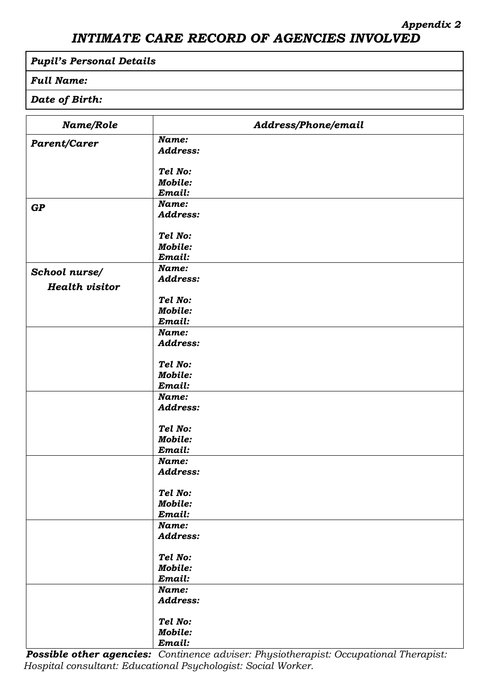### *INTIMATE CARE RECORD OF AGENCIES INVOLVED*

### *Pupil's Personal Details*

### *Full Name:*

### *Date of Birth:*

| Name/Role             | Address/Phone/email       |
|-----------------------|---------------------------|
| Parent/Carer          | Name:                     |
|                       | <b>Address:</b>           |
|                       |                           |
|                       | Tel No:                   |
|                       | <b>Mobile:</b>            |
|                       | Email:<br>Name:           |
| GP                    | <b>Address:</b>           |
|                       |                           |
|                       | Tel No:                   |
|                       | <b>Mobile:</b>            |
|                       | Email:                    |
| School nurse/         | Name:                     |
| <b>Health visitor</b> | <b>Address:</b>           |
|                       |                           |
|                       | Tel No:<br><b>Mobile:</b> |
|                       | Email:                    |
|                       | Name:                     |
|                       | <b>Address:</b>           |
|                       |                           |
|                       | Tel No:                   |
|                       | <b>Mobile:</b>            |
|                       | Email:                    |
|                       | Name:                     |
|                       | <b>Address:</b>           |
|                       | Tel No:                   |
|                       | <b>Mobile:</b>            |
|                       | Email:                    |
|                       | Name:                     |
|                       | <b>Address:</b>           |
|                       |                           |
|                       | Tel No:                   |
|                       | <b>Mobile:</b>            |
|                       | Email:                    |
|                       | Name:                     |
|                       | <b>Address:</b>           |
|                       | Tel No:                   |
|                       | <b>Mobile:</b>            |
|                       | Email:                    |
|                       | Name:                     |
|                       | Address:                  |
|                       |                           |
|                       | Tel No:                   |
|                       | <b>Mobile:</b>            |
|                       | Email:                    |

*Possible other agencies: Continence adviser: Physiotherapist: Occupational Therapist: Hospital consultant: Educational Psychologist: Social Worker.*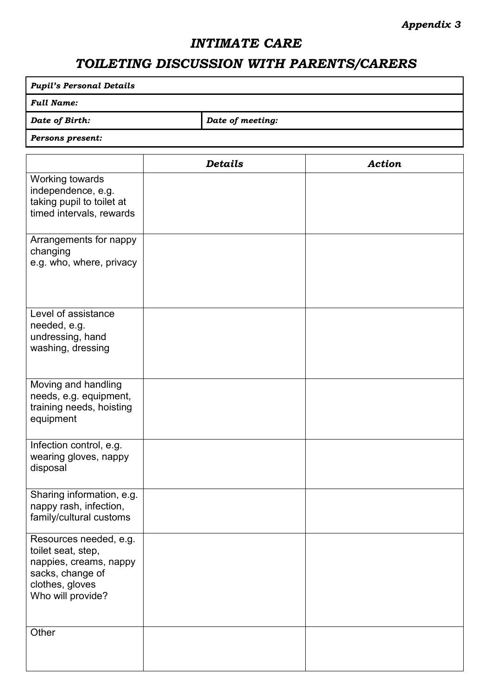### *Appendix 3*

### *INTIMATE CARE*

### *TOILETING DISCUSSION WITH PARENTS/CARERS*

| <b>Pupil's Personal Details</b>    |  |  |  |
|------------------------------------|--|--|--|
| <b>Full Name:</b>                  |  |  |  |
| Date of Birth:<br>Date of meeting: |  |  |  |
| Persons present:                   |  |  |  |
|                                    |  |  |  |

|                                                                                                                                    | <b>Details</b> | <b>Action</b> |
|------------------------------------------------------------------------------------------------------------------------------------|----------------|---------------|
| Working towards<br>independence, e.g.<br>taking pupil to toilet at<br>timed intervals, rewards                                     |                |               |
| Arrangements for nappy<br>changing<br>e.g. who, where, privacy                                                                     |                |               |
| Level of assistance<br>needed, e.g.<br>undressing, hand<br>washing, dressing                                                       |                |               |
| Moving and handling<br>needs, e.g. equipment,<br>training needs, hoisting<br>equipment                                             |                |               |
| Infection control, e.g.<br>wearing gloves, nappy<br>disposal                                                                       |                |               |
| Sharing information, e.g.<br>nappy rash, infection,<br>family/cultural customs                                                     |                |               |
| Resources needed, e.g.<br>toilet seat, step,<br>nappies, creams, nappy<br>sacks, change of<br>clothes, gloves<br>Who will provide? |                |               |
| Other                                                                                                                              |                |               |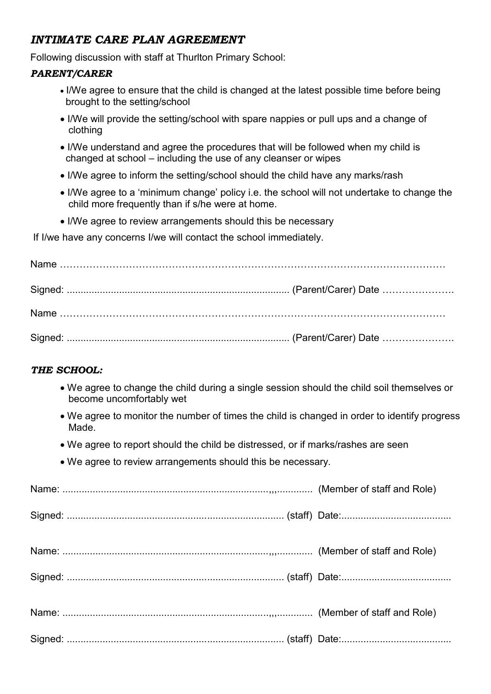### *INTIMATE CARE PLAN AGREEMENT*

Following discussion with staff at Thurlton Primary School:

### *PARENT/CARER*

- I/We agree to ensure that the child is changed at the latest possible time before being brought to the setting/school
- I/We will provide the setting/school with spare nappies or pull ups and a change of clothing
- I/We understand and agree the procedures that will be followed when my child is changed at school – including the use of any cleanser or wipes
- I/We agree to inform the setting/school should the child have any marks/rash
- I/We agree to a 'minimum change' policy i.e. the school will not undertake to change the child more frequently than if s/he were at home.
- I/We agree to review arrangements should this be necessary

If I/we have any concerns I/we will contact the school immediately.

### *THE SCHOOL:*

- We agree to change the child during a single session should the child soil themselves or become uncomfortably wet
- We agree to monitor the number of times the child is changed in order to identify progress Made.
- We agree to report should the child be distressed, or if marks/rashes are seen
- We agree to review arrangements should this be necessary.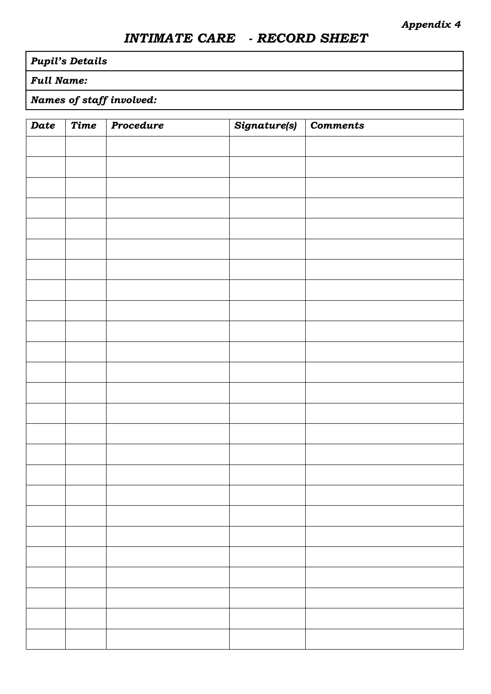### *INTIMATE CARE - RECORD SHEET*

### *Pupil's Details*

### *Full Name:*

### *Names of staff involved:*

| Date | Time | Procedure | Signature(s) | <b>Comments</b> |
|------|------|-----------|--------------|-----------------|
|      |      |           |              |                 |
|      |      |           |              |                 |
|      |      |           |              |                 |
|      |      |           |              |                 |
|      |      |           |              |                 |
|      |      |           |              |                 |
|      |      |           |              |                 |
|      |      |           |              |                 |
|      |      |           |              |                 |
|      |      |           |              |                 |
|      |      |           |              |                 |
|      |      |           |              |                 |
|      |      |           |              |                 |
|      |      |           |              |                 |
|      |      |           |              |                 |
|      |      |           |              |                 |
|      |      |           |              |                 |
|      |      |           |              |                 |
|      |      |           |              |                 |
|      |      |           |              |                 |
|      |      |           |              |                 |
|      |      |           |              |                 |
|      |      |           |              |                 |
|      |      |           |              |                 |
|      |      |           |              |                 |
|      |      |           |              |                 |